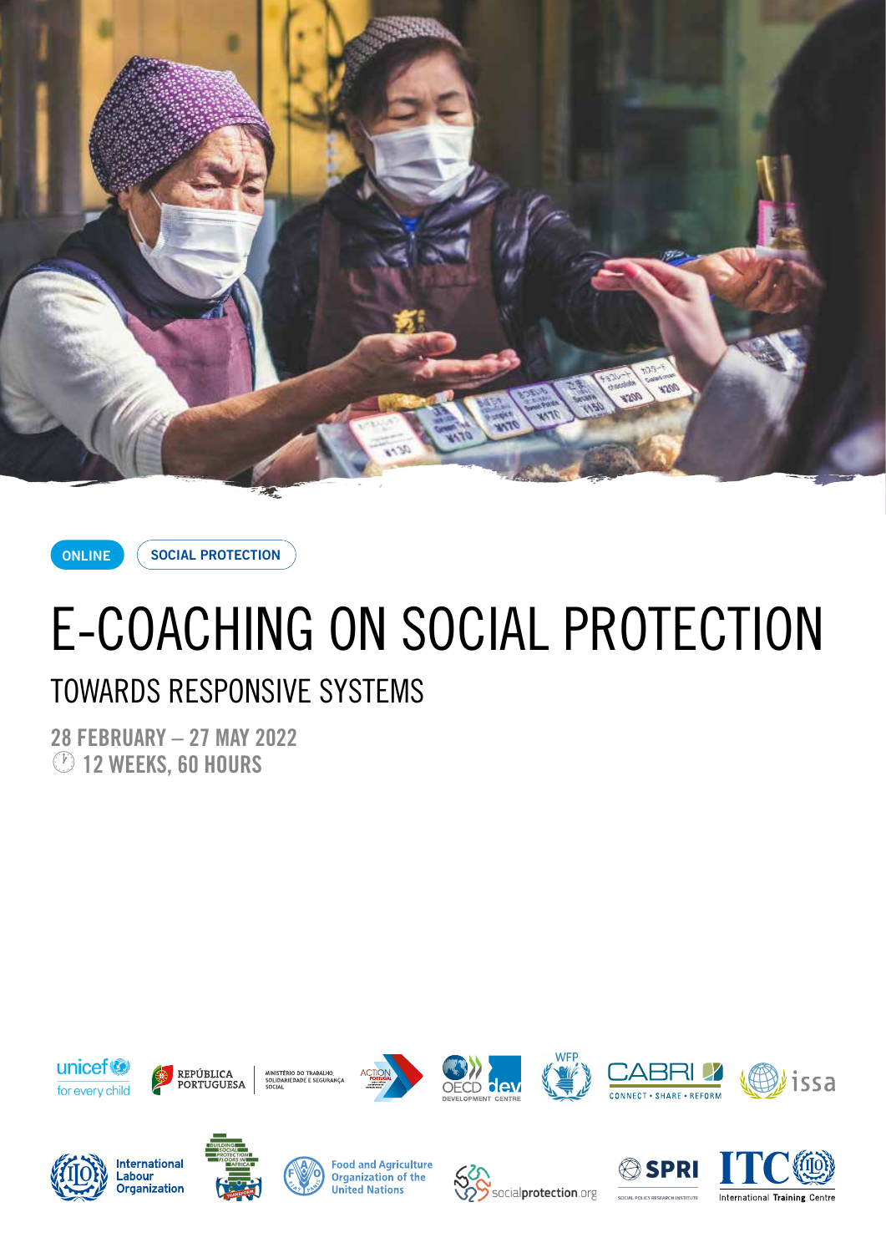

**ONLINE**

**SOCIAL PROTECTION**

# E-COACHING ON SOCIAL PROTECTION

### TOWARDS RESPONSIVE SYSTEMS

**28 FEBRUARY – 27 MAY 2022** · **12 WEEKS, 60 HOURS**



REPÚBLICA **PORTUGUESA** 











**International** Labour \_\_\_\_\_.<br>Organization



**Food and Agriculture Organization of the United Nations** 



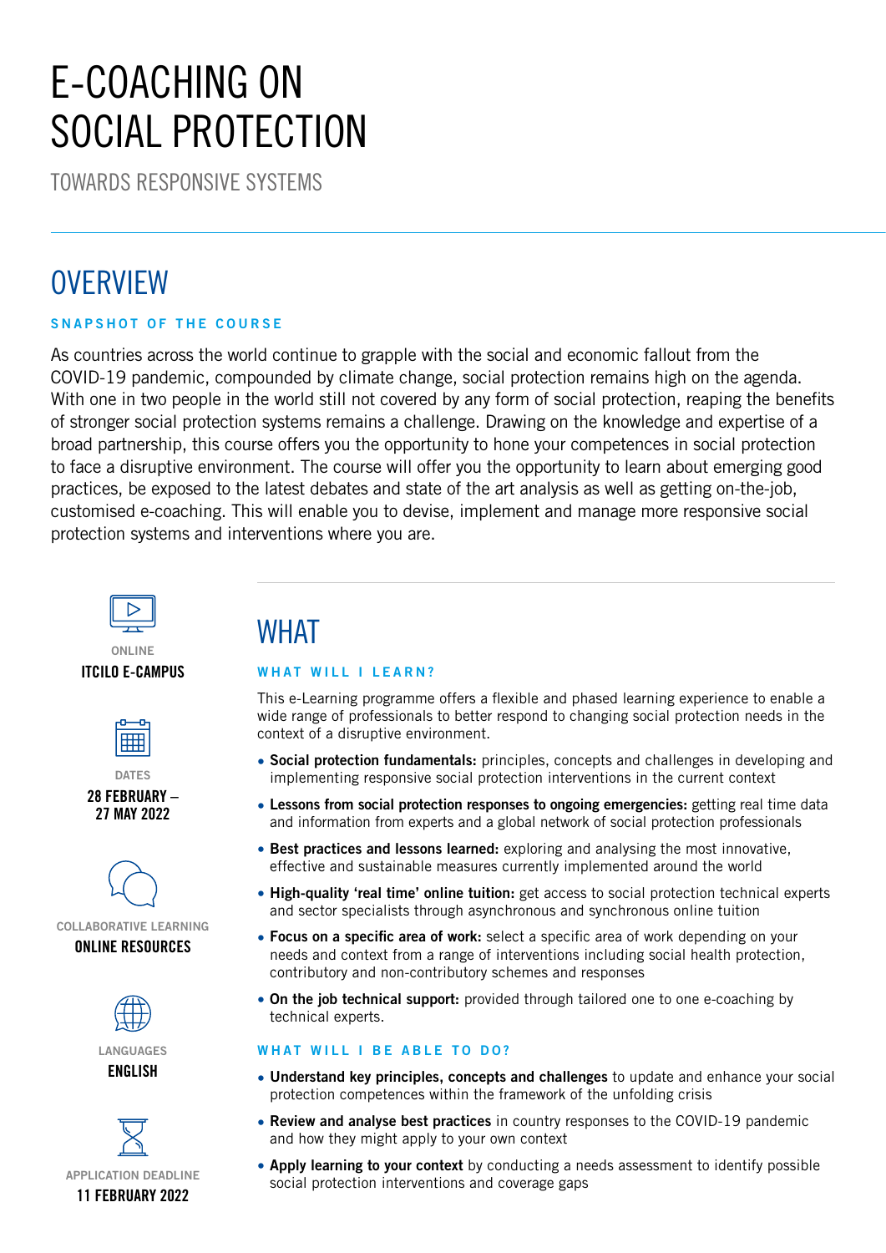## E-COACHING ON SOCIAL PROTECTION

TOWARDS RESPONSIVE SYSTEMS

### **OVERVIEW**

#### **SNAPSHOT OF THE COURSE**

As countries across the world continue to grapple with the social and economic fallout from the COVID-19 pandemic, compounded by climate change, social protection remains high on the agenda. With one in two people in the world still not covered by any form of social protection, reaping the benefits of stronger social protection systems remains a challenge. Drawing on the knowledge and expertise of a broad partnership, this course offers you the opportunity to hone your competences in social protection to face a disruptive environment. The course will offer you the opportunity to learn about emerging good practices, be exposed to the latest debates and state of the art analysis as well as getting on-the-job, customised e-coaching. This will enable you to devise, implement and manage more responsive social protection systems and interventions where you are.



#### **ONLINE ITCILO E-CAMPUS**



**DATES 28 FEBRUARY – 27 MAY 2022**



**COLLABORATIVE LEARNING ONLINE RESOURCES**





### **WHAT**

#### **WHAT WILL I LEARN?**

This e-Learning programme offers a flexible and phased learning experience to enable a wide range of professionals to better respond to changing social protection needs in the context of a disruptive environment.

- **Social protection fundamentals:** principles, concepts and challenges in developing and implementing responsive social protection interventions in the current context
- **Lessons from social protection responses to ongoing emergencies:** getting real time data and information from experts and a global network of social protection professionals
- **Best practices and lessons learned:** exploring and analysing the most innovative, effective and sustainable measures currently implemented around the world
- **High-quality 'real time' online tuition:** get access to social protection technical experts and sector specialists through asynchronous and synchronous online tuition
- **Focus on a specific area of work:** select a specific area of work depending on your needs and context from a range of interventions including social health protection, contributory and non-contributory schemes and responses
- **On the job technical support:** provided through tailored one to one e-coaching by technical experts.

#### **WHAT WILL I BE ABLE TO DO?**

- **Understand key principles, concepts and challenges** to update and enhance your social protection competences within the framework of the unfolding crisis
- **Review and analyse best practices** in country responses to the COVID-19 pandemic and how they might apply to your own context
- **Apply learning to your context** by conducting a needs assessment to identify possible social protection interventions and coverage gaps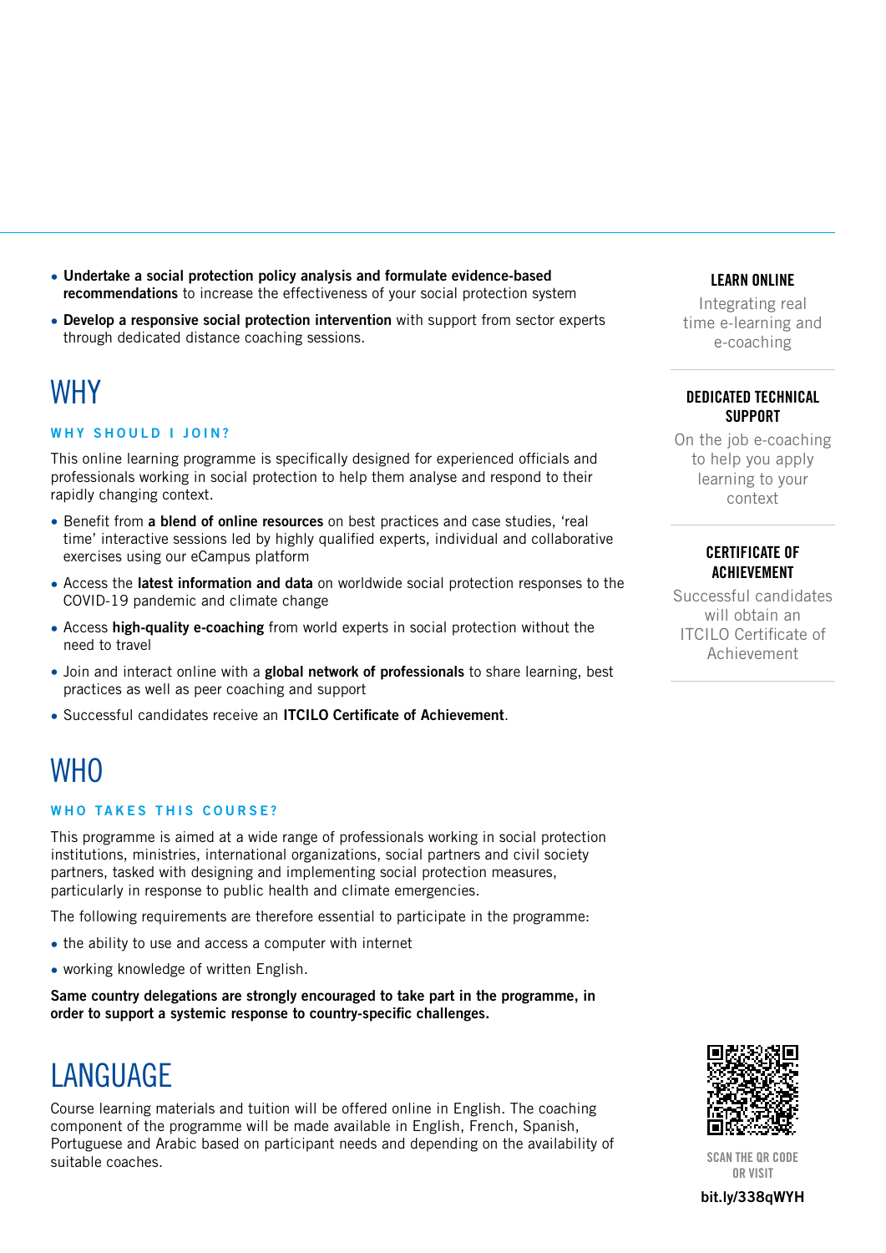- **Undertake a social protection policy analysis and formulate evidence-based recommendations** to increase the effectiveness of your social protection system
- **Develop a responsive social protection intervention** with support from sector experts through dedicated distance coaching sessions.

### **WHY**

#### **WHY SHOULD I JOIN?**

This online learning programme is specifically designed for experienced officials and professionals working in social protection to help them analyse and respond to their rapidly changing context.

- Benefit from **a blend of online resources** on best practices and case studies, 'real time' interactive sessions led by highly qualified experts, individual and collaborative exercises using our eCampus platform
- Access the **latest information and data** on worldwide social protection responses to the COVID-19 pandemic and climate change
- Access **high-quality e-coaching** from world experts in social protection without the need to travel
- Join and interact online with a **global network of professionals** to share learning, best practices as well as peer coaching and support
- Successful candidates receive an **ITCILO Certificate of Achievement**.

### **WHO**

#### **WHO TAKES THIS COURSE?**

This programme is aimed at a wide range of professionals working in social protection institutions, ministries, international organizations, social partners and civil society partners, tasked with designing and implementing social protection measures, particularly in response to public health and climate emergencies.

The following requirements are therefore essential to participate in the programme:

- the ability to use and access a computer with internet
- working knowledge of written English.

**Same country delegations are strongly encouraged to take part in the programme, in order to support a systemic response to country-specific challenges.**

### **LANGUAGE**

Course learning materials and tuition will be offered online in English. The coaching component of the programme will be made available in English, French, Spanish, Portuguese and Arabic based on participant needs and depending on the availability of suitable coaches. **SCAN THE QR CODE**<br>SCAN THE QR CODE

#### **LEARN ONLINE**

Integrating real time e-learning and e-coaching

#### **DEDICATED TECHNICAL SUPPORT**

On the job e-coaching to help you apply learning to your context

#### **CERTIFICATE OF ACHIEVEMENT**

Successful candidates will obtain an ITCILO Certificate of Achievement



**OR VISIT**

**[bit.ly/3](https://www.itcilo.org/courses/e-coaching-social-protection-towards-responsive-systems)38qWYH**